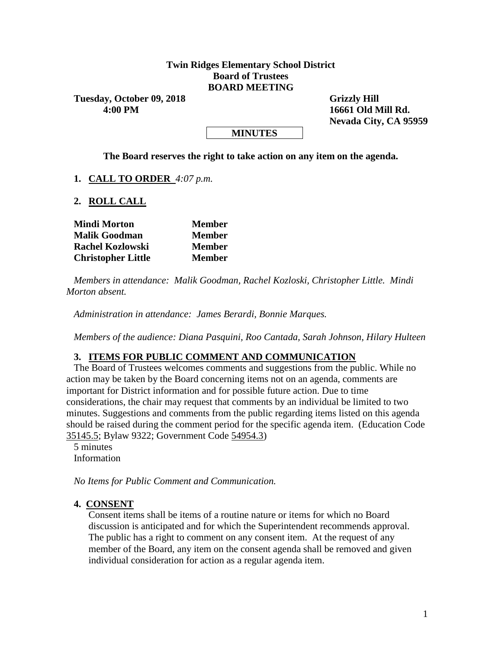### **Twin Ridges Elementary School District Board of Trustees BOARD MEETING**

Tuesday, October 09, 2018 Grizzly Hill  **4:00 PM 16661 Old Mill Rd.**

 **Nevada City, CA 95959**

#### **MINUTES**

**The Board reserves the right to take action on any item on the agenda.**

**1. CALL TO ORDER** *4:07 p.m.*

**2. ROLL CALL**

| <b>Mindi Morton</b>       | <b>Member</b> |  |  |  |
|---------------------------|---------------|--|--|--|
| <b>Malik Goodman</b>      | <b>Member</b> |  |  |  |
| <b>Rachel Kozlowski</b>   | <b>Member</b> |  |  |  |
| <b>Christopher Little</b> | <b>Member</b> |  |  |  |

*Members in attendance: Malik Goodman, Rachel Kozloski, Christopher Little. Mindi Morton absent.*

*Administration in attendance: James Berardi, Bonnie Marques.*

*Members of the audience: Diana Pasquini, Roo Cantada, Sarah Johnson, Hilary Hulteen*

#### **3. ITEMS FOR PUBLIC COMMENT AND COMMUNICATION**

The Board of Trustees welcomes comments and suggestions from the public. While no action may be taken by the Board concerning items not on an agenda, comments are important for District information and for possible future action. Due to time considerations, the chair may request that comments by an individual be limited to two minutes. Suggestions and comments from the public regarding items listed on this agenda should be raised during the comment period for the specific agenda item. (Education Code 35145.5; Bylaw 9322; Government Code 54954.3)

5 minutes Information

*No Items for Public Comment and Communication.*

#### **4. CONSENT**

Consent items shall be items of a routine nature or items for which no Board discussion is anticipated and for which the Superintendent recommends approval. The public has a right to comment on any consent item. At the request of any member of the Board, any item on the consent agenda shall be removed and given individual consideration for action as a regular agenda item.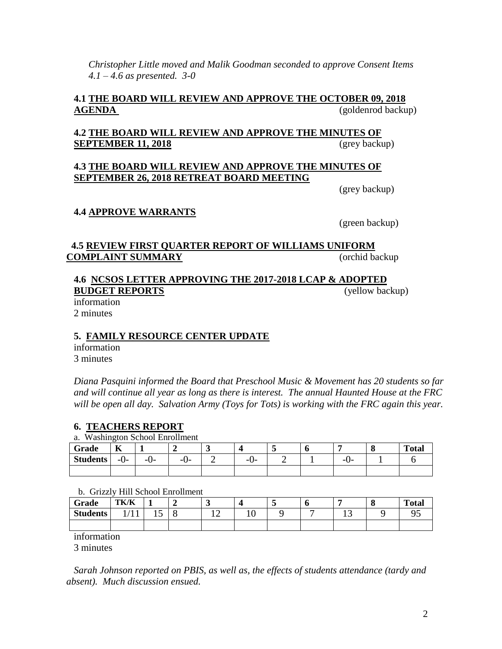*Christopher Little moved and Malik Goodman seconded to approve Consent Items 4.1 – 4.6 as presented. 3-0*

## **4.1 THE BOARD WILL REVIEW AND APPROVE THE OCTOBER 09, 2018 AGENDA** (goldenrod backup)

## **4.2 THE BOARD WILL REVIEW AND APPROVE THE MINUTES OF SEPTEMBER 11, 2018** (grey backup)

#### **4.3 THE BOARD WILL REVIEW AND APPROVE THE MINUTES OF SEPTEMBER 26, 2018 RETREAT BOARD MEETING**

(grey backup)

### **4.4 APPROVE WARRANTS**

(green backup)

#### **4.5 REVIEW FIRST QUARTER REPORT OF WILLIAMS UNIFORM COMPLAINT SUMMARY** (orchid backup

# **4.6 NCSOS LETTER APPROVING THE 2017-2018 LCAP & ADOPTED BUDGET REPORTS** (yellow backup)

information 2 minutes

## **5. FAMILY RESOURCE CENTER UPDATE**

information 3 minutes

*Diana Pasquini informed the Board that Preschool Music & Movement has 20 students so far and will continue all year as long as there is interest. The annual Haunted House at the FRC will be open all day. Salvation Army (Toys for Tots) is working with the FRC again this year.*

#### **6. TEACHERS REPORT**

a. Washington School Enrollment

| Grade           | $\mathbf{r}$<br>V |     | -      | ັ |                  |  |           | <b>Total</b> |
|-----------------|-------------------|-----|--------|---|------------------|--|-----------|--------------|
| <b>Students</b> | -U-               | -v- | $-U^-$ | - | --<br>$\sqrt{2}$ |  | --<br>. . |              |
|                 |                   |     |        |   |                  |  |           |              |

#### b. Grizzly Hill School Enrollment

| Grade           | TK/K                           |   | ັ  |     | ັ | v |    | <br><b>Total</b> |
|-----------------|--------------------------------|---|----|-----|---|---|----|------------------|
| <b>Students</b> | $\mathbf{r}$<br>$\blacksquare$ | ◡ | -- | ⊥ ∪ |   |   | ⊥ື |                  |
|                 |                                |   |    |     |   |   |    |                  |

information

3 minutes

*Sarah Johnson reported on PBIS, as well as, the effects of students attendance (tardy and absent). Much discussion ensued.*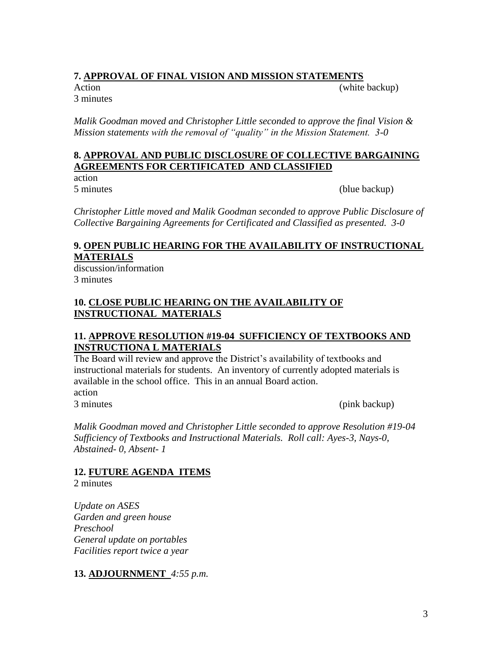# **7. APPROVAL OF FINAL VISION AND MISSION STATEMENTS**

3 minutes

Action (white backup)

*Malik Goodman moved and Christopher Little seconded to approve the final Vision & Mission statements with the removal of "quality" in the Mission Statement. 3-0*

## **8. APPROVAL AND PUBLIC DISCLOSURE OF COLLECTIVE BARGAINING AGREEMENTS FOR CERTIFICATED AND CLASSIFIED**

action

5 minutes (blue backup)

*Christopher Little moved and Malik Goodman seconded to approve Public Disclosure of Collective Bargaining Agreements for Certificated and Classified as presented. 3-0*

# **9. OPEN PUBLIC HEARING FOR THE AVAILABILITY OF INSTRUCTIONAL MATERIALS**

discussion/information 3 minutes

# **10. CLOSE PUBLIC HEARING ON THE AVAILABILITY OF INSTRUCTIONAL MATERIALS**

# **11. APPROVE RESOLUTION #19-04 SUFFICIENCY OF TEXTBOOKS AND INSTRUCTIONA L MATERIALS**

The Board will review and approve the District's availability of textbooks and instructional materials for students. An inventory of currently adopted materials is available in the school office. This in an annual Board action. action

3 minutes (pink backup)

*Malik Goodman moved and Christopher Little seconded to approve Resolution #19-04 Sufficiency of Textbooks and Instructional Materials. Roll call: Ayes-3, Nays-0, Abstained- 0, Absent- 1*

# **12. FUTURE AGENDA ITEMS**

2 minutes

*Update on ASES Garden and green house Preschool General update on portables Facilities report twice a year*

**13. ADJOURNMENT** *4:55 p.m.*